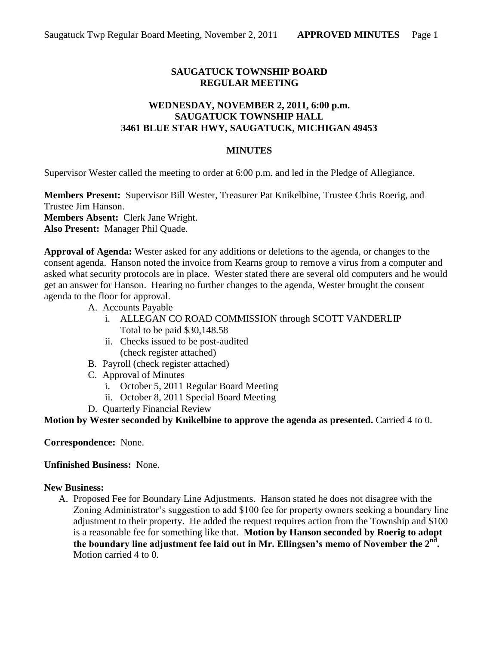# **SAUGATUCK TOWNSHIP BOARD REGULAR MEETING**

## **WEDNESDAY, NOVEMBER 2, 2011, 6:00 p.m. SAUGATUCK TOWNSHIP HALL 3461 BLUE STAR HWY, SAUGATUCK, MICHIGAN 49453**

### **MINUTES**

Supervisor Wester called the meeting to order at 6:00 p.m. and led in the Pledge of Allegiance.

**Members Present:** Supervisor Bill Wester, Treasurer Pat Knikelbine, Trustee Chris Roerig, and Trustee Jim Hanson. **Members Absent:** Clerk Jane Wright. **Also Present:** Manager Phil Quade.

**Approval of Agenda:** Wester asked for any additions or deletions to the agenda, or changes to the consent agenda. Hanson noted the invoice from Kearns group to remove a virus from a computer and asked what security protocols are in place. Wester stated there are several old computers and he would get an answer for Hanson. Hearing no further changes to the agenda, Wester brought the consent agenda to the floor for approval.

- A. Accounts Payable
	- i. ALLEGAN CO ROAD COMMISSION through SCOTT VANDERLIP Total to be paid \$30,148.58
	- ii. Checks issued to be post-audited (check register attached)
- B. Payroll (check register attached)
- C. Approval of Minutes
	- i. October 5, 2011 Regular Board Meeting
	- ii. October 8, 2011 Special Board Meeting
- D. Quarterly Financial Review

**Motion by Wester seconded by Knikelbine to approve the agenda as presented.** Carried 4 to 0.

**Correspondence:** None.

**Unfinished Business:** None.

#### **New Business:**

A. Proposed Fee for Boundary Line Adjustments. Hanson stated he does not disagree with the Zoning Administrator's suggestion to add \$100 fee for property owners seeking a boundary line adjustment to their property. He added the request requires action from the Township and \$100 is a reasonable fee for something like that. **Motion by Hanson seconded by Roerig to adopt the boundary line adjustment fee laid out in Mr. Ellingsen's memo of November the 2nd .** Motion carried 4 to 0.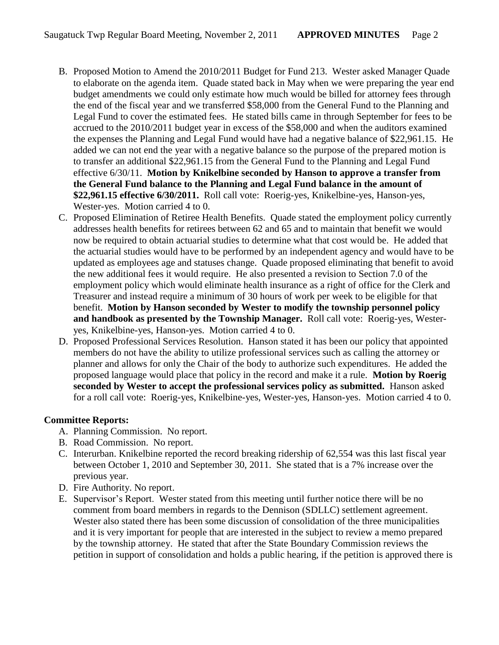- B. Proposed Motion to Amend the 2010/2011 Budget for Fund 213. Wester asked Manager Quade to elaborate on the agenda item. Quade stated back in May when we were preparing the year end budget amendments we could only estimate how much would be billed for attorney fees through the end of the fiscal year and we transferred \$58,000 from the General Fund to the Planning and Legal Fund to cover the estimated fees. He stated bills came in through September for fees to be accrued to the 2010/2011 budget year in excess of the \$58,000 and when the auditors examined the expenses the Planning and Legal Fund would have had a negative balance of \$22,961.15. He added we can not end the year with a negative balance so the purpose of the prepared motion is to transfer an additional \$22,961.15 from the General Fund to the Planning and Legal Fund effective 6/30/11. **Motion by Knikelbine seconded by Hanson to approve a transfer from the General Fund balance to the Planning and Legal Fund balance in the amount of \$22,961.15 effective 6/30/2011.** Roll call vote: Roerig-yes, Knikelbine-yes, Hanson-yes, Wester-yes. Motion carried 4 to 0.
- C. Proposed Elimination of Retiree Health Benefits. Quade stated the employment policy currently addresses health benefits for retirees between 62 and 65 and to maintain that benefit we would now be required to obtain actuarial studies to determine what that cost would be. He added that the actuarial studies would have to be performed by an independent agency and would have to be updated as employees age and statuses change. Quade proposed eliminating that benefit to avoid the new additional fees it would require. He also presented a revision to Section 7.0 of the employment policy which would eliminate health insurance as a right of office for the Clerk and Treasurer and instead require a minimum of 30 hours of work per week to be eligible for that benefit. **Motion by Hanson seconded by Wester to modify the township personnel policy and handbook as presented by the Township Manager.** Roll call vote: Roerig-yes, Westeryes, Knikelbine-yes, Hanson-yes. Motion carried 4 to 0.
- D. Proposed Professional Services Resolution. Hanson stated it has been our policy that appointed members do not have the ability to utilize professional services such as calling the attorney or planner and allows for only the Chair of the body to authorize such expenditures. He added the proposed language would place that policy in the record and make it a rule. **Motion by Roerig seconded by Wester to accept the professional services policy as submitted.** Hanson asked for a roll call vote: Roerig-yes, Knikelbine-yes, Wester-yes, Hanson-yes. Motion carried 4 to 0.

# **Committee Reports:**

- A. Planning Commission. No report.
- B. Road Commission. No report.
- C. Interurban. Knikelbine reported the record breaking ridership of 62,554 was this last fiscal year between October 1, 2010 and September 30, 2011. She stated that is a 7% increase over the previous year.
- D. Fire Authority. No report.
- E. Supervisor's Report. Wester stated from this meeting until further notice there will be no comment from board members in regards to the Dennison (SDLLC) settlement agreement. Wester also stated there has been some discussion of consolidation of the three municipalities and it is very important for people that are interested in the subject to review a memo prepared by the township attorney. He stated that after the State Boundary Commission reviews the petition in support of consolidation and holds a public hearing, if the petition is approved there is